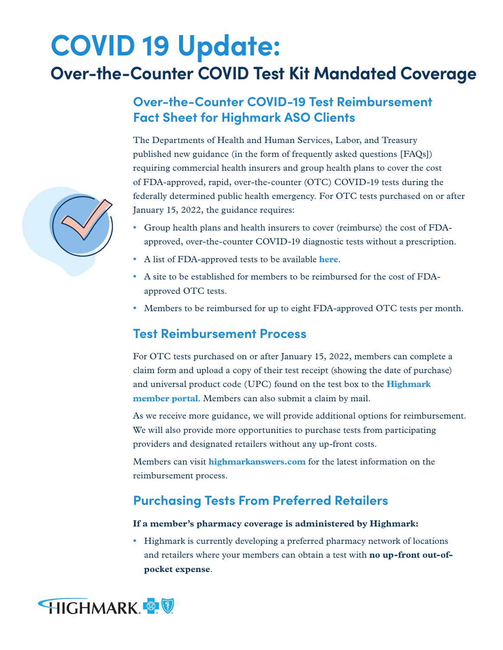# **COVID 19 Update: Over-the-Counter COVID Test Kit Mandated Coverage**

# **Over-the-Counter COVID-19 Test Reimbursement Fact Sheet for Highmark ASO Clients**

The Departments of Health and Human Services, Labor, and Treasury published new guidance (in the form of frequently asked questions [FAQs]) requiring commercial health insurers and group health plans to cover the cost of FDA-approved, rapid, over-the-counter (OTC) COVID-19 tests during the federally determined public health emergency. For OTC tests purchased on or after January 15, 2022, the guidance requires:

- **•** Group health plans and health insurers to cover (reimburse) the cost of FDAapproved, over-the-counter COVID-19 diagnostic tests without a prescription.
- **•** A list of FDA-approved tests to be available **[here](https://www.fda.gov/medical-devices/coronavirus-disease-2019-covid-19-emergency-use-authorizations-medical-devices/in-vitro-diagnostics-euas-antigen-diagnostic-tests-sars-cov-2)**.
- **•** A site to be established for members to be reimbursed for the cost of FDAapproved OTC tests.
- **•** Members to be reimbursed for up to eight FDA-approved OTC tests per month.

## **Test Reimbursement Process**

For OTC tests purchased on or after January 15, 2022, members can complete a claim form and upload a copy of their test receipt (showing the date of purchase) and universal product code (UPC) found on the test box to the **[Highmark](https://www.highmarkbcbs.com/login/#/forms)  [member portal](https://www.highmarkbcbs.com/login/#/forms)**. Members can also submit a claim by mail.

As we receive more guidance, we will provide additional options for reimbursement. We will also provide more opportunities to purchase tests from participating providers and designated retailers without any up-front costs.

Members can visit **[highmarkanswers.com](https://faqs.discoverhighmark.com/)** for the latest information on the reimbursement process.

## **Purchasing Tests From Preferred Retailers**

#### **If a member's pharmacy coverage is administered by Highmark:**

**•** Highmark is currently developing a preferred pharmacy network of locations and retailers where your members can obtain a test with **no up-front out-ofpocket expense**.